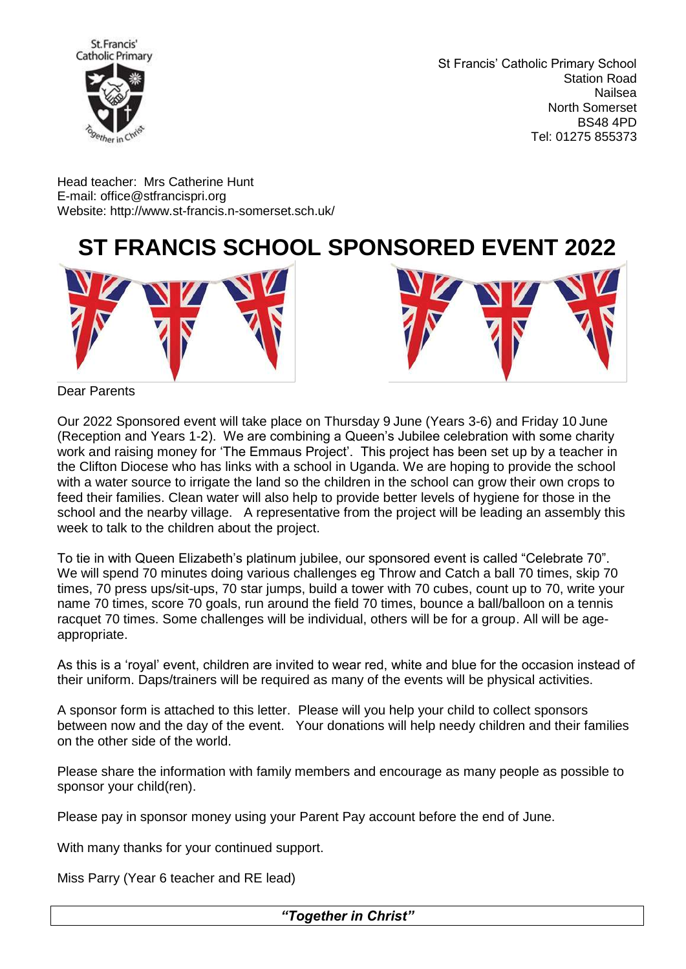

St Francis' Catholic Primary School Station Road Nailsea North Somerset BS48 4PD Tel: 01275 855373

Head teacher: Mrs Catherine Hunt E-mail: [office@stfrancispri.org](mailto:office@stfrancispri.org) Website:<http://www.st-francis.n-somerset.sch.uk/>

## **ST FRANCIS SCHOOL SPONSORED EVENT 2022**





Dear Parents

Our 2022 Sponsored event will take place on Thursday 9 June (Years 3-6) and Friday 10 June (Reception and Years 1-2). We are combining a Queen's Jubilee celebration with some charity work and raising money for 'The Emmaus Project'. This project has been set up by a teacher in the Clifton Diocese who has links with a school in Uganda. We are hoping to provide the school with a water source to irrigate the land so the children in the school can grow their own crops to feed their families. Clean water will also help to provide better levels of hygiene for those in the school and the nearby village. A representative from the project will be leading an assembly this week to talk to the children about the project.

To tie in with Queen Elizabeth's platinum jubilee, our sponsored event is called "Celebrate 70". We will spend 70 minutes doing various challenges eg Throw and Catch a ball 70 times, skip 70 times, 70 press ups/sit-ups, 70 star jumps, build a tower with 70 cubes, count up to 70, write your name 70 times, score 70 goals, run around the field 70 times, bounce a ball/balloon on a tennis racquet 70 times. Some challenges will be individual, others will be for a group. All will be ageappropriate.

As this is a 'royal' event, children are invited to wear red, white and blue for the occasion instead of their uniform. Daps/trainers will be required as many of the events will be physical activities.

A sponsor form is attached to this letter. Please will you help your child to collect sponsors between now and the day of the event. Your donations will help needy children and their families on the other side of the world.

Please share the information with family members and encourage as many people as possible to sponsor your child(ren).

Please pay in sponsor money using your Parent Pay account before the end of June.

With many thanks for your continued support.

Miss Parry (Year 6 teacher and RE lead)

*"Together in Christ"*